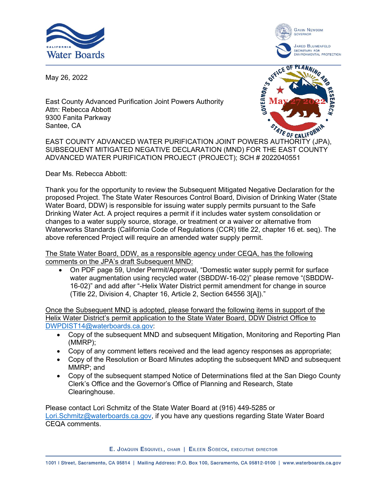



May 26, 2022

East County Advanced Purification Joint Powers Authority Attn: Rebecca Abbott 9300 Fanita Parkway Santee, CA



Santee, CA<br>EAST COUNTY ADVANCED WATER PURIFICATION JOINT POWERS AUTHORITY (JPA), SUBSEQUENT MITIGATED NEGATIVE DECLARATION (MND) FOR THE EAST COUNTY ADVANCED WATER PURIFICATION PROJECT (PROJECT); SCH # 2022040551

Dear Ms. Rebecca Abbott:

Thank you for the opportunity to review the Subsequent Mitigated Negative Declaration for the proposed Project. The State Water Resources Control Board, Division of Drinking Water (State Water Board, DDW) is responsible for issuing water supply permits pursuant to the Safe Drinking Water Act. A project requires a permit if it includes water system consolidation or changes to a water supply source, storage, or treatment or a waiver or alternative from Waterworks Standards (California Code of Regulations (CCR) title 22, chapter 16 et. seq). The above referenced Project will require an amended water supply permit.

The State Water Board, DDW, as a responsible agency under CEQA, has the following comments on the JPA's draft Subsequent MND:

· On PDF page 59, Under Permit/Approval, "Domestic water supply permit for surface water augmentation using recycled water (SBDDW-16-02)" please remove "(SBDDW-16-02)" and add after "-Helix Water District permit amendment for change in source (Title 22, Division 4, Chapter 16, Article 2, Section 64556 3[A])."

Once the Subsequent MND is adopted, please forward the following items in support of the Helix Water District's permit application to the State Water Board, DDW District Office to [DWPDIST14@waterboards.ca.gov](mailto:DWPDIST14@waterboards.ca.gov):

- · Copy of the subsequent MND and subsequent Mitigation, Monitoring and Reporting Plan (MMRP);
- · Copy of any comment letters received and the lead agency responses as appropriate;
- · Copy of the Resolution or Board Minutes adopting the subsequent MND and subsequent MMRP; and
- · Copy of the subsequent stamped Notice of Determinations filed at the San Diego County Clerk's Office and the Governor's Office of Planning and Research, State Clearinghouse.

Please contact Lori Schmitz of the State Water Board at (916) 449-5285 or [Lori.Schmitz@waterboards.ca.gov,](mailto:Lori.Schmitz@waterboards.ca.gov) if you have any questions regarding State Water Board CEQA comments.

E. JOAQUIN ESQUIVEL, CHAIR | EILEEN SOBECK, EXECUTIVE DIRECTOR